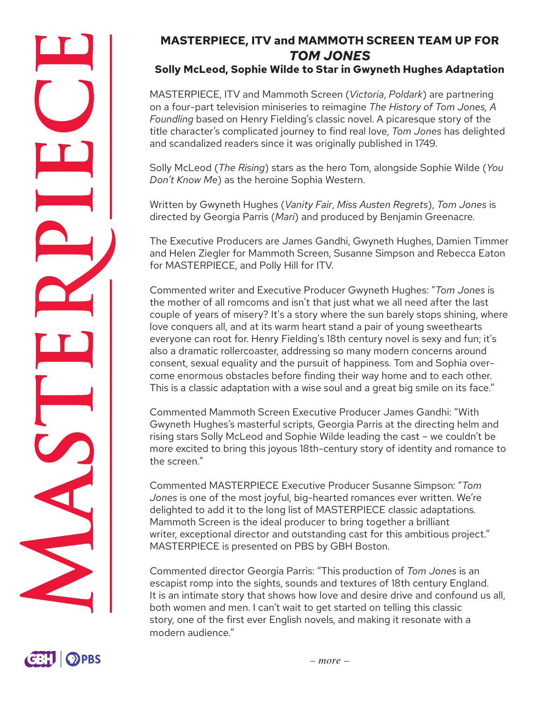# **MASTERPIECE, ITV and MAMMOTH SCREEN TEAM UP FOR**  *TOM JONES*

## **Solly McLeod, Sophie Wilde to Star in Gwyneth Hughes Adaptation**

MASTERPIECE, ITV and Mammoth Screen (*Victoria*, *Poldark*) are partnering on a four-part television miniseries to reimagine *The History of Tom Jones, A Foundling* based on Henry Fielding's classic novel. A picaresque story of the title character's complicated journey to find real love, *Tom Jones* has delighted and scandalized readers since it was originally published in 1749.

Solly McLeod (*The Rising*) stars as the hero Tom, alongside Sophie Wilde (*You Don't Know Me*) as the heroine Sophia Western.

Written by Gwyneth Hughes (*Vanity Fair*, *Miss Austen Regrets*), *Tom Jones* is directed by Georgia Parris (*Mari*) and produced by Benjamin Greenacre.

The Executive Producers are James Gandhi, Gwyneth Hughes, Damien Timmer and Helen Ziegler for Mammoth Screen, Susanne Simpson and Rebecca Eaton for MASTERPIECE, and Polly Hill for ITV.

Commented writer and Executive Producer Gwyneth Hughes: "*Tom Jones* is the mother of all romcoms and isn't that just what we all need after the last couple of years of misery? It's a story where the sun barely stops shining, where love conquers all, and at its warm heart stand a pair of young sweethearts everyone can root for. Henry Fielding's 18th century novel is sexy and fun; it's also a dramatic rollercoaster, addressing so many modern concerns around consent, sexual equality and the pursuit of happiness. Tom and Sophia overcome enormous obstacles before finding their way home and to each other. This is a classic adaptation with a wise soul and a great big smile on its face."

Commented Mammoth Screen Executive Producer James Gandhi: "With Gwyneth Hughes's masterful scripts, Georgia Parris at the directing helm and rising stars Solly McLeod and Sophie Wilde leading the cast – we couldn't be more excited to bring this joyous 18th-century story of identity and romance to the screen."

Commented MASTERPIECE Executive Producer Susanne Simpson: "*Tom Jones* is one of the most joyful, big-hearted romances ever written. We're delighted to add it to the long list of MASTERPIECE classic adaptations. Mammoth Screen is the ideal producer to bring together a brilliant writer, exceptional director and outstanding cast for this ambitious project." MASTERPIECE is presented on PBS by GBH Boston.

Commented director Georgia Parris: "This production of *Tom Jones* is an escapist romp into the sights, sounds and textures of 18th century England. It is an intimate story that shows how love and desire drive and confound us all, both women and men. I can't wait to get started on telling this classic story, one of the first ever English novels, and making it resonate with a modern audience."